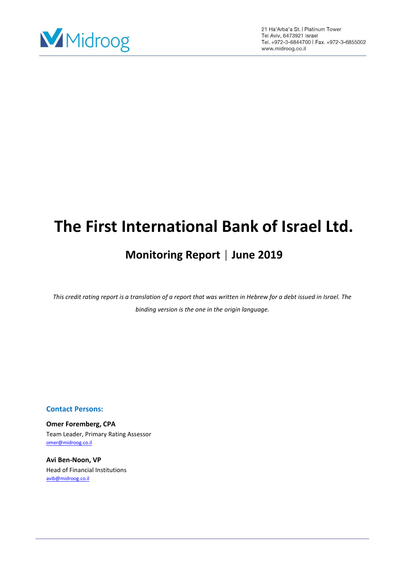

# **The First International Bank of Israel Ltd.**

## **Monitoring Report | June 2019**

*This credit rating report is a translation of a report that was written in Hebrew for a debt issued in Israel. The binding version is the one in the origin language.*

## **Contact Persons:**

**Omer Foremberg, CPA** Team Leader, Primary Rating Assessor [omer@midroog.co.il](mailto:omer@midroog.co.il)

**Avi Ben-Noon, VP**  Head of Financial Institutions [avib@midroog.co.il](mailto:avib@midroog.co.il)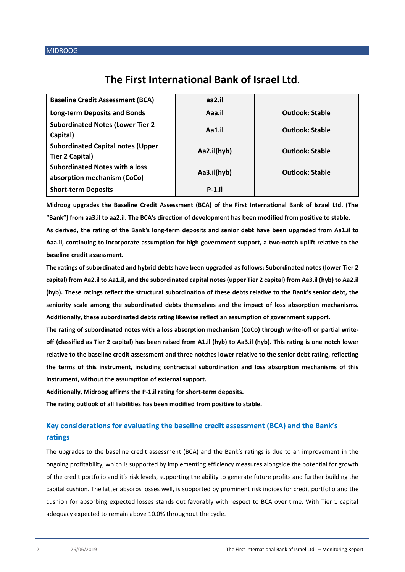## **The First International Bank of Israel Ltd**.

| <b>Baseline Credit Assessment (BCA)</b>                              | aa2.il      |                        |
|----------------------------------------------------------------------|-------------|------------------------|
| <b>Long-term Deposits and Bonds</b>                                  | Aaa.il      | <b>Outlook: Stable</b> |
| <b>Subordinated Notes (Lower Tier 2</b><br>Capital)                  | Aa1.il      | <b>Outlook: Stable</b> |
| <b>Subordinated Capital notes (Upper</b><br>Tier 2 Capital)          | Aa2.il(hyb) | <b>Outlook: Stable</b> |
| <b>Subordinated Notes with a loss</b><br>absorption mechanism (CoCo) | Aa3.il(hyb) | <b>Outlook: Stable</b> |
| <b>Short-term Deposits</b>                                           | $P-1$ .il   |                        |

**Midroog upgrades the Baseline Credit Assessment (BCA) of the First International Bank of Israel Ltd. (The "Bank") from aa3.il to aa2.il. The BCA's direction of development has been modified from positive to stable.** 

**As derived, the rating of the Bank's long-term deposits and senior debt have been upgraded from Aa1.il to Aaa.il, continuing to incorporate assumption for high government support, a two-notch uplift relative to the baseline credit assessment.**

**The ratings of subordinated and hybrid debts have been upgraded as follows: Subordinated notes (lower Tier 2 capital) from Aa2.il to Aa1.il, and the subordinated capital notes(upper Tier 2 capital) from Aa3.il (hyb) to Aa2.il (hyb). These ratings reflect the structural subordination of these debts relative to the Bank's senior debt, the seniority scale among the subordinated debts themselves and the impact of loss absorption mechanisms. Additionally, these subordinated debts rating likewise reflect an assumption of government support.**

**The rating of subordinated notes with a loss absorption mechanism (CoCo) through write-off or partial writeoff (classified as Tier 2 capital) has been raised from A1.il (hyb) to Aa3.il (hyb). This rating is one notch lower relative to the baseline credit assessment and three notches lower relative to the senior debt rating, reflecting the terms of this instrument, including contractual subordination and loss absorption mechanisms of this instrument, without the assumption of external support.**

**Additionally, Midroog affirms the P-1.il rating for short-term deposits.**

**The rating outlook of all liabilities has been modified from positive to stable.**

## **Key considerations for evaluating the baseline credit assessment (BCA) and the Bank's ratings**

The upgrades to the baseline credit assessment (BCA) and the Bank's ratings is due to an improvement in the ongoing profitability, which is supported by implementing efficiency measures alongside the potential for growth of the credit portfolio and it's risk levels, supporting the ability to generate future profits and further building the capital cushion. The latter absorbs losses well, is supported by prominent risk indices for credit portfolio and the cushion for absorbing expected losses stands out favorably with respect to BCA over time. With Tier 1 capital adequacy expected to remain above 10.0% throughout the cycle.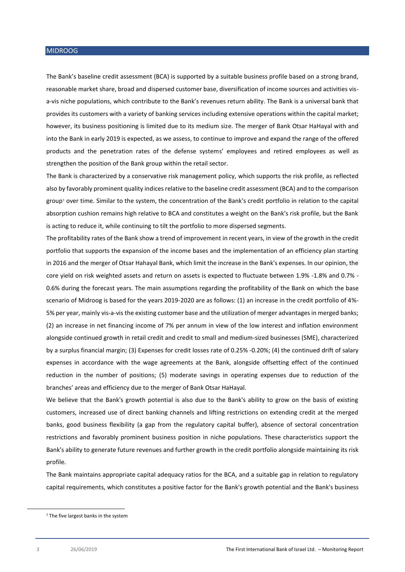The Bank's baseline credit assessment (BCA) is supported by a suitable business profile based on a strong brand, reasonable market share, broad and dispersed customer base, diversification of income sources and activities visa-vis niche populations, which contribute to the Bank's revenues return ability. The Bank is a universal bank that provides its customers with a variety of banking services including extensive operations within the capital market; however, its business positioning is limited due to its medium size. The merger of Bank Otsar HaHayal with and into the Bank in early 2019 is expected, as we assess, to continue to improve and expand the range of the offered products and the penetration rates of the defense systems' employees and retired employees as well as strengthen the position of the Bank group within the retail sector.

The Bank is characterized by a conservative risk management policy, which supports the risk profile, as reflected also by favorably prominent quality indices relative to the baseline credit assessment (BCA) and to the comparison group<sup>1</sup> over time. Similar to the system, the concentration of the Bank's credit portfolio in relation to the capital absorption cushion remains high relative to BCA and constitutes a weight on the Bank's risk profile, but the Bank is acting to reduce it, while continuing to tilt the portfolio to more dispersed segments.

The profitability rates of the Bank show a trend of improvement in recent years, in view of the growth in the credit portfolio that supports the expansion of the income bases and the implementation of an efficiency plan starting in 2016 and the merger of Otsar Hahayal Bank, which limit the increase in the Bank's expenses. In our opinion, the core yield on risk weighted assets and return on assets is expected to fluctuate between 1.9% -1.8% and 0.7% - 0.6% during the forecast years. The main assumptions regarding the profitability of the Bank on which the base scenario of Midroog is based for the years 2019-2020 are as follows: (1) an increase in the credit portfolio of 4%- 5% per year, mainly vis-a-visthe existing customer base and the utilization of merger advantages in merged banks; (2) an increase in net financing income of 7% per annum in view of the low interest and inflation environment alongside continued growth in retail credit and credit to small and medium-sized businesses (SME), characterized by a surplus financial margin; (3) Expenses for credit losses rate of 0.25% -0.20%; (4) the continued drift of salary expenses in accordance with the wage agreements at the Bank, alongside offsetting effect of the continued reduction in the number of positions; (5) moderate savings in operating expenses due to reduction of the branches' areas and efficiency due to the merger of Bank Otsar HaHayal.

We believe that the Bank's growth potential is also due to the Bank's ability to grow on the basis of existing customers, increased use of direct banking channels and lifting restrictions on extending credit at the merged banks, good business flexibility (a gap from the regulatory capital buffer), absence of sectoral concentration restrictions and favorably prominent business position in niche populations. These characteristics support the Bank's ability to generate future revenues and further growth in the credit portfolio alongside maintaining its risk profile.

The Bank maintains appropriate capital adequacy ratios for the BCA, and a suitable gap in relation to regulatory capital requirements, which constitutes a positive factor for the Bank's growth potential and the Bank's business

**.** 

<sup>&</sup>lt;sup>1</sup> The five largest banks in the system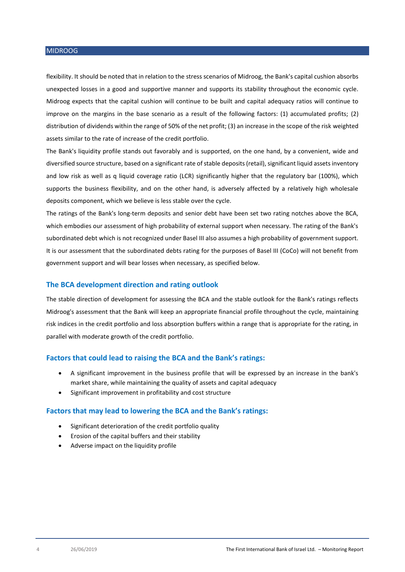flexibility. It should be noted that in relation to the stress scenarios of Midroog, the Bank's capital cushion absorbs unexpected losses in a good and supportive manner and supports its stability throughout the economic cycle. Midroog expects that the capital cushion will continue to be built and capital adequacy ratios will continue to improve on the margins in the base scenario as a result of the following factors: (1) accumulated profits; (2) distribution of dividends within the range of 50% of the net profit; (3) an increase in the scope of the risk weighted assets similar to the rate of increase of the credit portfolio.

The Bank's liquidity profile stands out favorably and is supported, on the one hand, by a convenient, wide and diversified source structure, based on a significant rate of stable deposits (retail), significant liquid assets inventory and low risk as well as q liquid coverage ratio (LCR) significantly higher that the regulatory bar (100%), which supports the business flexibility, and on the other hand, is adversely affected by a relatively high wholesale deposits component, which we believe is less stable over the cycle.

The ratings of the Bank's long-term deposits and senior debt have been set two rating notches above the BCA, which embodies our assessment of high probability of external support when necessary. The rating of the Bank's subordinated debt which is not recognized under Basel III also assumes a high probability of government support. It is our assessment that the subordinated debts rating for the purposes of Basel III (CoCo) will not benefit from government support and will bear losses when necessary, as specified below.

## **The BCA development direction and rating outlook**

The stable direction of development for assessing the BCA and the stable outlook for the Bank's ratings reflects Midroog's assessment that the Bank will keep an appropriate financial profile throughout the cycle, maintaining risk indices in the credit portfolio and loss absorption buffers within a range that is appropriate for the rating, in parallel with moderate growth of the credit portfolio.

#### **Factors that could lead to raising the BCA and the Bank's ratings:**

- A significant improvement in the business profile that will be expressed by an increase in the bank's market share, while maintaining the quality of assets and capital adequacy
- Significant improvement in profitability and cost structure

#### **Factors that may lead to lowering the BCA and the Bank's ratings:**

- Significant deterioration of the credit portfolio quality
- Erosion of the capital buffers and their stability
- Adverse impact on the liquidity profile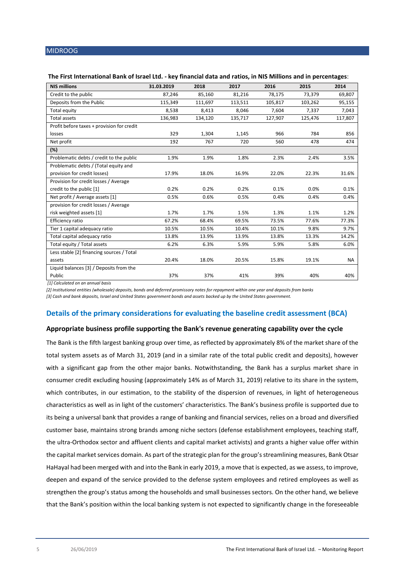| <b>NIS millions</b>                        | 31.03.2019 | 2018    | 2017    | 2016    | 2015    | 2014      |
|--------------------------------------------|------------|---------|---------|---------|---------|-----------|
| Credit to the public                       | 87,246     | 85,160  | 81,216  | 78,175  | 73,379  | 69,807    |
| Deposits from the Public                   | 115,349    | 111,697 | 113,511 | 105,817 | 103,262 | 95,155    |
| Total equity                               | 8,538      | 8,413   | 8.046   | 7,604   | 7,337   | 7,043     |
| <b>Total assets</b>                        | 136,983    | 134,120 | 135,717 | 127,907 | 125,476 | 117,807   |
| Profit before taxes + provision for credit |            |         |         |         |         |           |
| losses                                     | 329        | 1,304   | 1,145   | 966     | 784     | 856       |
| Net profit                                 | 192        | 767     | 720     | 560     | 478     | 474       |
| (%)                                        |            |         |         |         |         |           |
| Problematic debts / credit to the public   | 1.9%       | 1.9%    | 1.8%    | 2.3%    | 2.4%    | 3.5%      |
| Problematic debts / (Total equity and      |            |         |         |         |         |           |
| provision for credit losses)               | 17.9%      | 18.0%   | 16.9%   | 22.0%   | 22.3%   | 31.6%     |
| Provision for credit losses / Average      |            |         |         |         |         |           |
| credit to the public [1]                   | 0.2%       | 0.2%    | 0.2%    | 0.1%    | 0.0%    | 0.1%      |
| Net profit / Average assets [1]            | 0.5%       | 0.6%    | 0.5%    | 0.4%    | 0.4%    | 0.4%      |
| provision for credit losses / Average      |            |         |         |         |         |           |
| risk weighted assets [1]                   | 1.7%       | 1.7%    | 1.5%    | 1.3%    | 1.1%    | 1.2%      |
| Efficiency ratio                           | 67.2%      | 68.4%   | 69.5%   | 73.5%   | 77.6%   | 77.3%     |
| Tier 1 capital adequacy ratio              | 10.5%      | 10.5%   | 10.4%   | 10.1%   | 9.8%    | 9.7%      |
| Total capital adequacy ratio               | 13.8%      | 13.9%   | 13.9%   | 13.8%   | 13.3%   | 14.2%     |
| Total equity / Total assets                | 6.2%       | 6.3%    | 5.9%    | 5.9%    | 5.8%    | 6.0%      |
| Less stable [2] financing sources / Total  |            |         |         |         |         |           |
| assets                                     | 20.4%      | 18.0%   | 20.5%   | 15.8%   | 19.1%   | <b>NA</b> |
| Liquid balances [3] / Deposits from the    |            |         |         |         |         |           |
| Public                                     | 37%        | 37%     | 41%     | 39%     | 40%     | 40%       |

#### **The First International Bank of Israel Ltd. - key financial data and ratios, in NIS Millions and in percentages**:

*[1] Calculated on an annual basis* 

*[2] Institutional entities (wholesale) deposits, bonds and deferred promissory notes for repayment within one year and deposits from banks*

*[3] Cash and bank deposits, Israel and United States government bonds and assets backed up by the United States government.*

## **Details of the primary considerations for evaluating the baseline credit assessment (BCA)**

#### **Appropriate business profile supporting the Bank's revenue generating capability over the cycle**

The Bank is the fifth largest banking group over time, as reflected by approximately 8% of the market share of the total system assets as of March 31, 2019 (and in a similar rate of the total public credit and deposits), however with a significant gap from the other major banks. Notwithstanding, the Bank has a surplus market share in consumer credit excluding housing (approximately 14% as of March 31, 2019) relative to its share in the system, which contributes, in our estimation, to the stability of the dispersion of revenues, in light of heterogeneous characteristics as well as in light of the customers' characteristics. The Bank's business profile is supported due to its being a universal bank that provides a range of banking and financial services, relies on a broad and diversified customer base, maintains strong brands among niche sectors (defense establishment employees, teaching staff, the ultra-Orthodox sector and affluent clients and capital market activists) and grants a higher value offer within the capital market services domain. As part of the strategic plan for the group's streamlining measures, Bank Otsar HaHayal had been merged with and into the Bank in early 2019, a move that is expected, as we assess, to improve, deepen and expand of the service provided to the defense system employees and retired employees as well as strengthen the group's status among the households and small businesses sectors. On the other hand, we believe that the Bank's position within the local banking system is not expected to significantly change in the foreseeable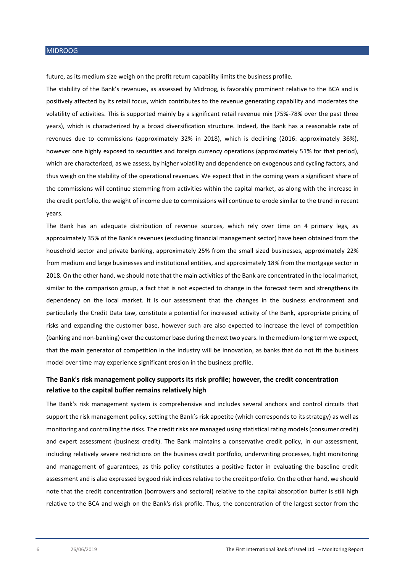future, as its medium size weigh on the profit return capability limits the business profile.

The stability of the Bank's revenues, as assessed by Midroog, is favorably prominent relative to the BCA and is positively affected by its retail focus, which contributes to the revenue generating capability and moderates the volatility of activities. This is supported mainly by a significant retail revenue mix (75%-78% over the past three years), which is characterized by a broad diversification structure. Indeed, the Bank has a reasonable rate of revenues due to commissions (approximately 32% in 2018), which is declining (2016: approximately 36%), however one highly exposed to securities and foreign currency operations (approximately 51% for that period), which are characterized, as we assess, by higher volatility and dependence on exogenous and cycling factors, and thus weigh on the stability of the operational revenues. We expect that in the coming years a significant share of the commissions will continue stemming from activities within the capital market, as along with the increase in the credit portfolio, the weight of income due to commissions will continue to erode similar to the trend in recent years.

The Bank has an adequate distribution of revenue sources, which rely over time on 4 primary legs, as approximately 35% of the Bank's revenues (excluding financial management sector) have been obtained from the household sector and private banking, approximately 25% from the small sized businesses, approximately 22% from medium and large businesses and institutional entities, and approximately 18% from the mortgage sector in 2018. On the other hand, we should note that the main activities of the Bank are concentrated in the local market, similar to the comparison group, a fact that is not expected to change in the forecast term and strengthens its dependency on the local market. It is our assessment that the changes in the business environment and particularly the Credit Data Law, constitute a potential for increased activity of the Bank, appropriate pricing of risks and expanding the customer base, however such are also expected to increase the level of competition (banking and non-banking) over the customer base during the next two years. In the medium-long term we expect, that the main generator of competition in the industry will be innovation, as banks that do not fit the business model over time may experience significant erosion in the business profile.

## **The Bank's risk management policy supports its risk profile; however, the credit concentration relative to the capital buffer remains relatively high**

The Bank's risk management system is comprehensive and includes several anchors and control circuits that support the risk management policy, setting the Bank's risk appetite (which corresponds to its strategy) as well as monitoring and controlling the risks. The credit risks are managed using statistical rating models (consumer credit) and expert assessment (business credit). The Bank maintains a conservative credit policy, in our assessment, including relatively severe restrictions on the business credit portfolio, underwriting processes, tight monitoring and management of guarantees, as this policy constitutes a positive factor in evaluating the baseline credit assessment and is also expressed by good risk indices relative to the credit portfolio. On the other hand, we should note that the credit concentration (borrowers and sectoral) relative to the capital absorption buffer is still high relative to the BCA and weigh on the Bank's risk profile. Thus, the concentration of the largest sector from the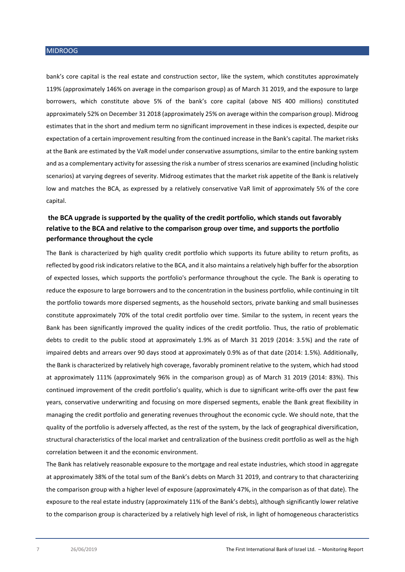bank's core capital is the real estate and construction sector, like the system, which constitutes approximately 119% (approximately 146% on average in the comparison group) as of March 31 2019, and the exposure to large borrowers, which constitute above 5% of the bank's core capital (above NIS 400 millions) constituted approximately 52% on December 31 2018 (approximately 25% on average within the comparison group). Midroog estimates that in the short and medium term no significant improvement in these indices is expected, despite our expectation of a certain improvement resulting from the continued increase in the Bank's capital. The market risks at the Bank are estimated by the VaR model under conservative assumptions, similar to the entire banking system and as a complementary activity for assessing the risk a number of stressscenarios are examined (including holistic scenarios) at varying degrees of severity. Midroog estimates that the market risk appetite of the Bank is relatively low and matches the BCA, as expressed by a relatively conservative VaR limit of approximately 5% of the core capital.

## **the BCA upgrade is supported by the quality of the credit portfolio, which stands out favorably relative to the BCA and relative to the comparison group over time, and supports the portfolio performance throughout the cycle**

The Bank is characterized by high quality credit portfolio which supports its future ability to return profits, as reflected by good risk indicators relative to the BCA, and it also maintains a relatively high buffer for the absorption of expected losses, which supports the portfolio's performance throughout the cycle. The Bank is operating to reduce the exposure to large borrowers and to the concentration in the business portfolio, while continuing in tilt the portfolio towards more dispersed segments, as the household sectors, private banking and small businesses constitute approximately 70% of the total credit portfolio over time. Similar to the system, in recent years the Bank has been significantly improved the quality indices of the credit portfolio. Thus, the ratio of problematic debts to credit to the public stood at approximately 1.9% as of March 31 2019 (2014: 3.5%) and the rate of impaired debts and arrears over 90 days stood at approximately 0.9% as of that date (2014: 1.5%). Additionally, the Bank is characterized by relatively high coverage, favorably prominent relative to the system, which had stood at approximately 111% (approximately 96% in the comparison group) as of March 31 2019 (2014: 83%). This continued improvement of the credit portfolio's quality, which is due to significant write-offs over the past few years, conservative underwriting and focusing on more dispersed segments, enable the Bank great flexibility in managing the credit portfolio and generating revenues throughout the economic cycle. We should note, that the quality of the portfolio is adversely affected, as the rest of the system, by the lack of geographical diversification, structural characteristics of the local market and centralization of the business credit portfolio as well as the high correlation between it and the economic environment.

The Bank has relatively reasonable exposure to the mortgage and real estate industries, which stood in aggregate at approximately 38% of the total sum of the Bank's debts on March 31 2019, and contrary to that characterizing the comparison group with a higher level of exposure (approximately 47%, in the comparison as of that date). The exposure to the real estate industry (approximately 11% of the Bank's debts), although significantly lower relative to the comparison group is characterized by a relatively high level of risk, in light of homogeneous characteristics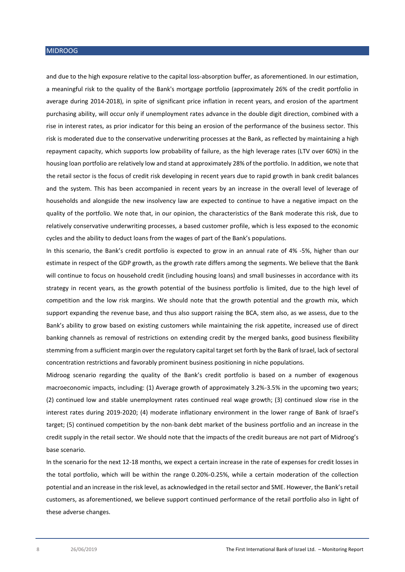and due to the high exposure relative to the capital loss-absorption buffer, as aforementioned. In our estimation, a meaningful risk to the quality of the Bank's mortgage portfolio (approximately 26% of the credit portfolio in average during 2014-2018), in spite of significant price inflation in recent years, and erosion of the apartment purchasing ability, will occur only if unemployment rates advance in the double digit direction, combined with a rise in interest rates, as prior indicator for this being an erosion of the performance of the business sector. This risk is moderated due to the conservative underwriting processes at the Bank, as reflected by maintaining a high repayment capacity, which supports low probability of failure, as the high leverage rates (LTV over 60%) in the housing loan portfolio are relatively low and stand at approximately 28% of the portfolio. In addition, we note that the retail sector is the focus of credit risk developing in recent years due to rapid growth in bank credit balances and the system. This has been accompanied in recent years by an increase in the overall level of leverage of households and alongside the new insolvency law are expected to continue to have a negative impact on the quality of the portfolio. We note that, in our opinion, the characteristics of the Bank moderate this risk, due to relatively conservative underwriting processes, a based customer profile, which is less exposed to the economic cycles and the ability to deduct loans from the wages of part of the Bank's populations.

In this scenario, the Bank's credit portfolio is expected to grow in an annual rate of 4% -5%, higher than our estimate in respect of the GDP growth, as the growth rate differs among the segments. We believe that the Bank will continue to focus on household credit (including housing loans) and small businesses in accordance with its strategy in recent years, as the growth potential of the business portfolio is limited, due to the high level of competition and the low risk margins. We should note that the growth potential and the growth mix, which support expanding the revenue base, and thus also support raising the BCA, stem also, as we assess, due to the Bank's ability to grow based on existing customers while maintaining the risk appetite, increased use of direct banking channels as removal of restrictions on extending credit by the merged banks, good business flexibility stemming from a sufficient margin over the regulatory capital target set forth by the Bank of Israel, lack of sectoral concentration restrictions and favorably prominent business positioning in niche populations.

Midroog scenario regarding the quality of the Bank's credit portfolio is based on a number of exogenous macroeconomic impacts, including: (1) Average growth of approximately 3.2%-3.5% in the upcoming two years; (2) continued low and stable unemployment rates continued real wage growth; (3) continued slow rise in the interest rates during 2019-2020; (4) moderate inflationary environment in the lower range of Bank of Israel's target; (5) continued competition by the non-bank debt market of the business portfolio and an increase in the credit supply in the retail sector. We should note that the impacts of the credit bureaus are not part of Midroog's base scenario.

In the scenario for the next 12-18 months, we expect a certain increase in the rate of expenses for credit losses in the total portfolio, which will be within the range 0.20%-0.25%, while a certain moderation of the collection potential and an increase in the risk level, as acknowledged in the retail sector and SME. However, the Bank's retail customers, as aforementioned, we believe support continued performance of the retail portfolio also in light of these adverse changes.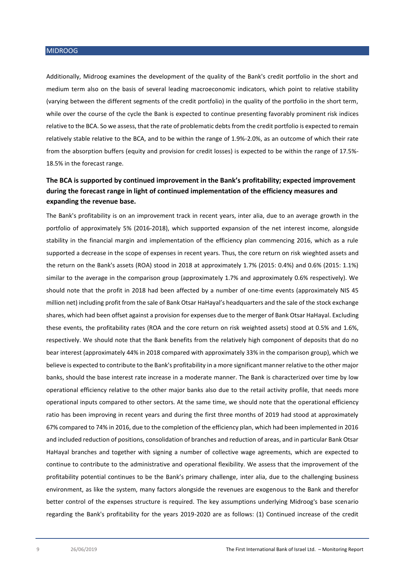Additionally, Midroog examines the development of the quality of the Bank's credit portfolio in the short and medium term also on the basis of several leading macroeconomic indicators, which point to relative stability (varying between the different segments of the credit portfolio) in the quality of the portfolio in the short term, while over the course of the cycle the Bank is expected to continue presenting favorably prominent risk indices relative to the BCA. So we assess, that the rate of problematic debts from the credit portfolio is expected to remain relatively stable relative to the BCA, and to be within the range of 1.9%-2.0%, as an outcome of which their rate from the absorption buffers (equity and provision for credit losses) is expected to be within the range of 17.5%- 18.5% in the forecast range.

## **The BCA is supported by continued improvement in the Bank's profitability; expected improvement during the forecast range in light of continued implementation of the efficiency measures and expanding the revenue base.**

The Bank's profitability is on an improvement track in recent years, inter alia, due to an average growth in the portfolio of approximately 5% (2016-2018), which supported expansion of the net interest income, alongside stability in the financial margin and implementation of the efficiency plan commencing 2016, which as a rule supported a decrease in the scope of expenses in recent years. Thus, the core return on risk wieghted assets and the return on the Bank's assets (ROA) stood in 2018 at approximately 1.7% (2015: 0.4%) and 0.6% (2015: 1.1%) similar to the average in the comparison group (approximately 1.7% and approximately 0.6% respectively). We should note that the profit in 2018 had been affected by a number of one-time events (approximately NIS 45 million net) including profit from the sale of Bank Otsar HaHayal's headquarters and the sale of the stock exchange shares, which had been offset against a provision for expenses due to the merger of Bank Otsar HaHayal. Excluding these events, the profitability rates (ROA and the core return on risk weighted assets) stood at 0.5% and 1.6%, respectively. We should note that the Bank benefits from the relatively high component of deposits that do no bear interest (approximately 44% in 2018 compared with approximately 33% in the comparison group), which we believe is expected to contribute to the Bank's profitability in a more significant manner relative to the other major banks, should the base interest rate increase in a moderate manner. The Bank is characterized over time by low operational efficiency relative to the other major banks also due to the retail activity profile, that needs more operational inputs compared to other sectors. At the same time, we should note that the operational efficiency ratio has been improving in recent years and during the first three months of 2019 had stood at approximately 67% compared to 74% in 2016, due to the completion of the efficiency plan, which had been implemented in 2016 and included reduction of positions, consolidation of branches and reduction of areas, and in particular Bank Otsar HaHayal branches and together with signing a number of collective wage agreements, which are expected to continue to contribute to the administrative and operational flexibility. We assess that the improvement of the profitability potential continues to be the Bank's primary challenge, inter alia, due to the challenging business environment, as like the system, many factors alongside the revenues are exogenous to the Bank and therefor better control of the expenses structure is required. The key assumptions underlying Midroog's base scenario regarding the Bank's profitability for the years 2019-2020 are as follows: (1) Continued increase of the credit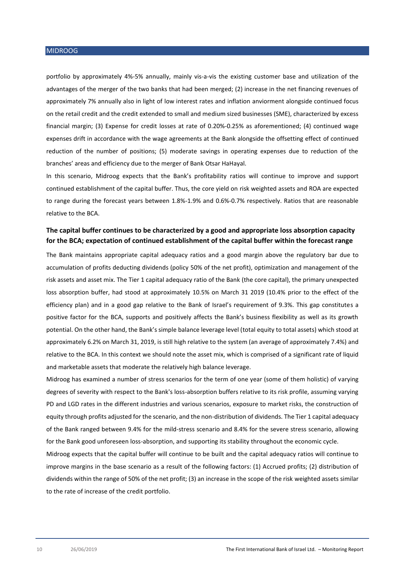portfolio by approximately 4%-5% annually, mainly vis-a-vis the existing customer base and utilization of the advantages of the merger of the two banks that had been merged; (2) increase in the net financing revenues of approximately 7% annually also in light of low interest rates and inflation anviorment alongside continued focus on the retail credit and the credit extended to small and medium sized businesses (SME), characterized by excess financial margin; (3) Expense for credit losses at rate of 0.20%-0.25% as aforementioned; (4) continued wage expenses drift in accordance with the wage agreements at the Bank alongside the offsetting effect of continued reduction of the number of positions; (5) moderate savings in operating expenses due to reduction of the branches' areas and efficiency due to the merger of Bank Otsar HaHayal.

In this scenario, Midroog expects that the Bank's profitability ratios will continue to improve and support continued establishment of the capital buffer. Thus, the core yield on risk weighted assets and ROA are expected to range during the forecast years between 1.8%-1.9% and 0.6%-0.7% respectively. Ratios that are reasonable relative to the BCA.

## **The capital buffer continues to be characterized by a good and appropriate loss absorption capacity for the BCA; expectation of continued establishment of the capital buffer within the forecast range**

The Bank maintains appropriate capital adequacy ratios and a good margin above the regulatory bar due to accumulation of profits deducting dividends (policy 50% of the net profit), optimization and management of the risk assets and asset mix. The Tier 1 capital adequacy ratio of the Bank (the core capital), the primary unexpected loss absorption buffer, had stood at approximately 10.5% on March 31 2019 (10.4% prior to the effect of the efficiency plan) and in a good gap relative to the Bank of Israel's requirement of 9.3%. This gap constitutes a positive factor for the BCA, supports and positively affects the Bank's business flexibility as well as its growth potential. On the other hand, the Bank's simple balance leverage level (total equity to total assets) which stood at approximately 6.2% on March 31, 2019, is still high relative to the system (an average of approximately 7.4%) and relative to the BCA. In this context we should note the asset mix, which is comprised of a significant rate of liquid and marketable assets that moderate the relatively high balance leverage.

Midroog has examined a number of stress scenarios for the term of one year (some of them holistic) of varying degrees of severity with respect to the Bank's loss-absorption buffers relative to its risk profile, assuming varying PD and LGD rates in the different industries and various scenarios, exposure to market risks, the construction of equity through profits adjusted for the scenario, and the non-distribution of dividends. The Tier 1 capital adequacy of the Bank ranged between 9.4% for the mild-stress scenario and 8.4% for the severe stress scenario, allowing for the Bank good unforeseen loss-absorption, and supporting its stability throughout the economic cycle.

Midroog expects that the capital buffer will continue to be built and the capital adequacy ratios will continue to improve margins in the base scenario as a result of the following factors: (1) Accrued profits; (2) distribution of dividends within the range of 50% of the net profit; (3) an increase in the scope of the risk weighted assets similar to the rate of increase of the credit portfolio.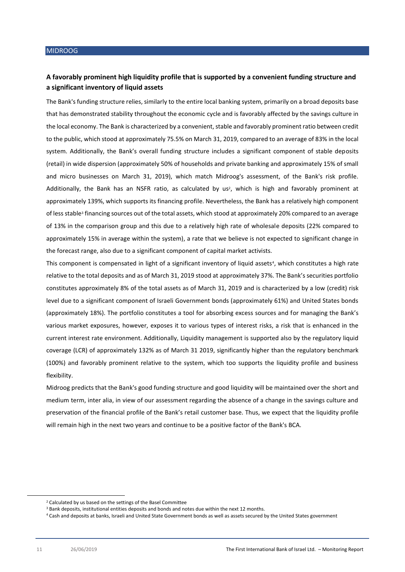## **A favorably prominent high liquidity profile that is supported by a convenient funding structure and a significant inventory of liquid assets**

The Bank's funding structure relies, similarly to the entire local banking system, primarily on a broad deposits base that has demonstrated stability throughout the economic cycle and is favorably affected by the savings culture in the local economy. The Bank is characterized by a convenient, stable and favorably prominent ratio between credit to the public, which stood at approximately 75.5% on March 31, 2019, compared to an average of 83% in the local system. Additionally, the Bank's overall funding structure includes a significant component of stable deposits (retail) in wide dispersion (approximately 50% of households and private banking and approximately 15% of small and micro businesses on March 31, 2019), which match Midroog's assessment, of the Bank's risk profile. Additionally, the Bank has an NSFR ratio, as calculated by us<sup>2</sup>, which is high and favorably prominent at approximately 139%, which supports its financing profile. Nevertheless, the Bank has a relatively high component of less stable<sup>3</sup> financing sources out of the total assets, which stood at approximately 20% compared to an average of 13% in the comparison group and this due to a relatively high rate of wholesale deposits (22% compared to approximately 15% in average within the system), a rate that we believe is not expected to significant change in the forecast range, also due to a significant component of capital market activists.

This component is compensated in light of a significant inventory of liquid assets<sup>4</sup>, which constitutes a high rate relative to the total deposits and as of March 31, 2019 stood at approximately 37%. The Bank's securities portfolio constitutes approximately 8% of the total assets as of March 31, 2019 and is characterized by a low (credit) risk level due to a significant component of Israeli Government bonds (approximately 61%) and United States bonds (approximately 18%). The portfolio constitutes a tool for absorbing excess sources and for managing the Bank's various market exposures, however, exposes it to various types of interest risks, a risk that is enhanced in the current interest rate environment. Additionally, Liquidity management is supported also by the regulatory liquid coverage (LCR) of approximately 132% as of March 31 2019, significantly higher than the regulatory benchmark (100%) and favorably prominent relative to the system, which too supports the liquidity profile and business flexibility.

Midroog predicts that the Bank's good funding structure and good liquidity will be maintained over the short and medium term, inter alia, in view of our assessment regarding the absence of a change in the savings culture and preservation of the financial profile of the Bank's retail customer base. Thus, we expect that the liquidity profile will remain high in the next two years and continue to be a positive factor of the Bank's BCA.

**.** 

<sup>2</sup> Calculated by us based on the settings of the Basel Committee

<sup>&</sup>lt;sup>3</sup> Bank deposits, institutional entities deposits and bonds and notes due within the next 12 months.

<sup>4</sup> Cash and deposits at banks, Israeli and United State Government bonds as well as assets secured by the United States government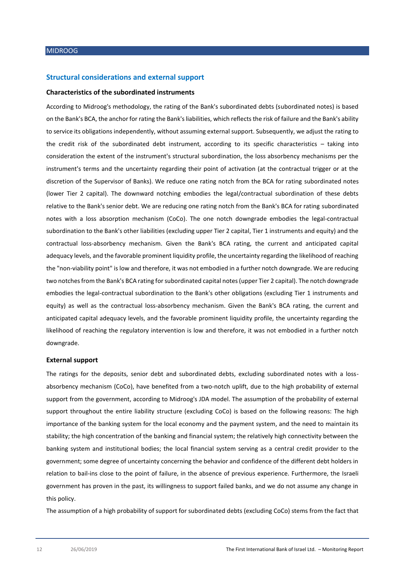#### **Structural considerations and external support**

#### **Characteristics of the subordinated instruments**

According to Midroog's methodology, the rating of the Bank's subordinated debts (subordinated notes) is based on the Bank's BCA, the anchor for rating the Bank's liabilities, which reflects the risk of failure and the Bank's ability to service its obligations independently, without assuming external support. Subsequently, we adjust the rating to the credit risk of the subordinated debt instrument, according to its specific characteristics – taking into consideration the extent of the instrument's structural subordination, the loss absorbency mechanisms per the instrument's terms and the uncertainty regarding their point of activation (at the contractual trigger or at the discretion of the Supervisor of Banks). We reduce one rating notch from the BCA for rating subordinated notes (lower Tier 2 capital). The downward notching embodies the legal/contractual subordination of these debts relative to the Bank's senior debt. We are reducing one rating notch from the Bank's BCA for rating subordinated notes with a loss absorption mechanism (CoCo). The one notch downgrade embodies the legal-contractual subordination to the Bank's other liabilities (excluding upper Tier 2 capital, Tier 1 instruments and equity) and the contractual loss-absorbency mechanism. Given the Bank's BCA rating, the current and anticipated capital adequacy levels, and the favorable prominent liquidity profile, the uncertainty regarding the likelihood of reaching the "non-viability point" is low and therefore, it was not embodied in a further notch downgrade. We are reducing two notches from the Bank's BCA rating for subordinated capital notes (upper Tier 2 capital). The notch downgrade embodies the legal-contractual subordination to the Bank's other obligations (excluding Tier 1 instruments and equity) as well as the contractual loss-absorbency mechanism. Given the Bank's BCA rating, the current and anticipated capital adequacy levels, and the favorable prominent liquidity profile, the uncertainty regarding the likelihood of reaching the regulatory intervention is low and therefore, it was not embodied in a further notch downgrade.

#### **External support**

The ratings for the deposits, senior debt and subordinated debts, excluding subordinated notes with a lossabsorbency mechanism (CoCo), have benefited from a two-notch uplift, due to the high probability of external support from the government, according to Midroog's JDA model. The assumption of the probability of external support throughout the entire liability structure (excluding CoCo) is based on the following reasons: The high importance of the banking system for the local economy and the payment system, and the need to maintain its stability; the high concentration of the banking and financial system; the relatively high connectivity between the banking system and institutional bodies; the local financial system serving as a central credit provider to the government; some degree of uncertainty concerning the behavior and confidence of the different debt holders in relation to bail-ins close to the point of failure, in the absence of previous experience. Furthermore, the Israeli government has proven in the past, its willingness to support failed banks, and we do not assume any change in this policy.

The assumption of a high probability of support for subordinated debts (excluding CoCo) stems from the fact that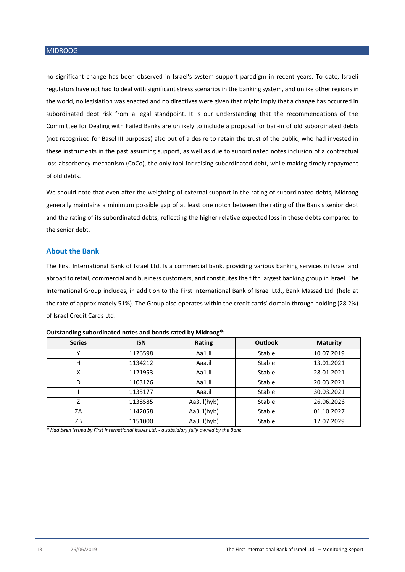no significant change has been observed in Israel's system support paradigm in recent years. To date, Israeli regulators have not had to deal with significant stress scenarios in the banking system, and unlike other regions in the world, no legislation was enacted and no directives were given that might imply that a change has occurred in subordinated debt risk from a legal standpoint. It is our understanding that the recommendations of the Committee for Dealing with Failed Banks are unlikely to include a proposal for bail-in of old subordinated debts (not recognized for Basel III purposes) also out of a desire to retain the trust of the public, who had invested in these instruments in the past assuming support, as well as due to subordinated notes inclusion of a contractual loss-absorbency mechanism (CoCo), the only tool for raising subordinated debt, while making timely repayment of old debts.

We should note that even after the weighting of external support in the rating of subordinated debts, Midroog generally maintains a minimum possible gap of at least one notch between the rating of the Bank's senior debt and the rating of its subordinated debts, reflecting the higher relative expected loss in these debts compared to the senior debt.

#### **About the Bank**

The First International Bank of Israel Ltd. Is a commercial bank, providing various banking services in Israel and abroad to retail, commercial and business customers, and constitutes the fifth largest banking group in Israel. The International Group includes, in addition to the First International Bank of Israel Ltd., Bank Massad Ltd. (held at the rate of approximately 51%). The Group also operates within the credit cards' domain through holding (28.2%) of Israel Credit Cards Ltd.

| <b>Series</b> | <b>ISN</b> | Rating      | <b>Outlook</b> | <b>Maturity</b> |
|---------------|------------|-------------|----------------|-----------------|
| ν             | 1126598    | Aa1.il      | Stable         | 10.07.2019      |
| н             | 1134212    | Aaa.il      | Stable         | 13.01.2021      |
| x             | 1121953    | Aa1.il      | Stable         | 28.01.2021      |
| D             | 1103126    | Aa1.il      | Stable         | 20.03.2021      |
|               | 1135177    | Aaa.il      | Stable         | 30.03.2021      |
| 7             | 1138585    | Aa3.il(hyb) | Stable         | 26.06.2026      |
| ΖA            | 1142058    | Aa3.il(hyb) | Stable         | 01.10.2027      |
| ZB            | 1151000    | Aa3.il(hyb) | Stable         | 12.07.2029      |

| Outstanding subordinated notes and bonds rated by Midroog*: |  |  |
|-------------------------------------------------------------|--|--|
|-------------------------------------------------------------|--|--|

*\* Had been issued by First International Issues Ltd. - a subsidiary fully owned by the Bank*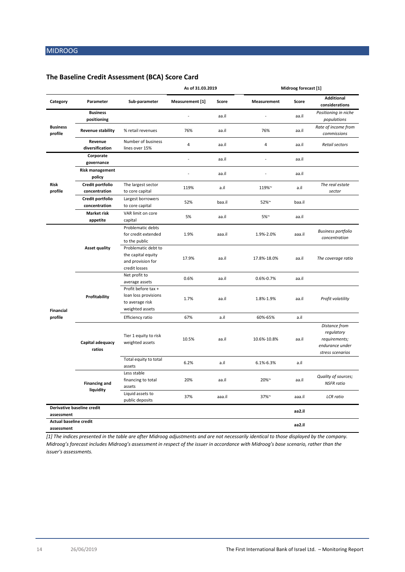## **The Baseline Credit Assessment (BCA) Score Card**

|                               |                                   |                                                                                   | As of 31.03.2019             |        |                    | Midroog forecast [1] |                                                                                     |  |
|-------------------------------|-----------------------------------|-----------------------------------------------------------------------------------|------------------------------|--------|--------------------|----------------------|-------------------------------------------------------------------------------------|--|
| Category                      | Parameter                         | Sub-parameter                                                                     | Measurement [1]              | Score  | <b>Measurement</b> | Score                | <b>Additional</b><br>considerations                                                 |  |
|                               | <b>Business</b><br>positioning    |                                                                                   |                              | aa.il  | Ĭ.                 | aa.il                | Positioning in niche<br>populations                                                 |  |
| <b>Business</b><br>profile    | <b>Revenue stability</b>          | % retail revenues                                                                 | 76%                          | aa.il  | 76%                | aa.il                | Rate of income from<br>commissions                                                  |  |
|                               | Revenue<br>diversification        | Number of business<br>lines over 15%                                              | $\overline{4}$               | aa.il  | 4                  | aa.il                | Retail sectors                                                                      |  |
|                               | Corporate<br>governance           |                                                                                   | $\overline{a}$               | aa.il  | $\overline{a}$     | aa.il                |                                                                                     |  |
|                               | <b>Risk management</b><br>policy  |                                                                                   | $\qquad \qquad \blacksquare$ | aa.il  | $\overline{a}$     | aa.il                |                                                                                     |  |
| <b>Risk</b><br>profile        | Credit portfolio<br>concentration | The largest sector<br>to core capital                                             | 119%                         | a.il   | 119%~              | a.il                 | The real estate<br>sector                                                           |  |
|                               | Credit portfolio<br>concentration | Largest borrowers<br>to core capital                                              | 52%                          | baa.il | 52%~               | baa.il               |                                                                                     |  |
|                               | <b>Market risk</b><br>appetite    | VAR limit on core<br>capital                                                      | 5%                           | aa.il  | $5\%$ ~            | aa.il                |                                                                                     |  |
| <b>Financial</b>              | <b>Asset quality</b>              | Problematic debts<br>for credit extended<br>to the public                         | 1.9%                         | aaa.il | 1.9%-2.0%          | aaa.il               | <b>Business portfolio</b><br>concentration                                          |  |
|                               |                                   | Problematic debt to<br>the capital equity<br>and provision for<br>credit losses   | 17.9%                        | aa.il  | 17.8%-18.0%        | aa.il                | The coverage ratio                                                                  |  |
|                               | Profitability                     | Net profit to<br>average assets                                                   | 0.6%                         | aa.il  | 0.6%-0.7%          | aa.il                |                                                                                     |  |
|                               |                                   | Profit before tax +<br>loan loss provisions<br>to average risk<br>weighted assets | 1.7%                         | aa.il  | 1.8%-1.9%          | aa.il                | Profit volatility                                                                   |  |
| profile                       |                                   | Efficiency ratio                                                                  | 67%                          | a.il   | 60%-65%            | a.il                 |                                                                                     |  |
|                               | Capital adequacy<br>ratios        | Tier 1 equity to risk<br>weighted assets                                          | 10.5%                        | aa.il  | 10.6%-10.8%        | aa.il                | Distance from<br>regulatory<br>requirements;<br>endurance under<br>stress scenarios |  |
|                               |                                   | Total equity to total<br>assets                                                   | 6.2%                         | a.il   | 6.1%-6.3%          | a.il                 |                                                                                     |  |
|                               | <b>Financing and</b>              | Less stable<br>financing to total<br>assets                                       | 20%                          | aa.il  | 20%~               | aa.il                | Quality of sources;<br><b>NSFR</b> ratio                                            |  |
|                               | liquidity                         | Liquid assets to<br>public deposits                                               | 37%                          | aaa.il | 37%~               | aaa.il               | <b>LCR</b> ratio                                                                    |  |
| assessment                    | Derivative baseline credit        |                                                                                   |                              |        |                    | aa2.il               |                                                                                     |  |
| <b>Actual baseline credit</b> |                                   |                                                                                   |                              |        |                    |                      |                                                                                     |  |
| assessment                    |                                   |                                                                                   |                              |        |                    | aa2.il               |                                                                                     |  |

*[1] The indices presented in the table are after Midroog adjustments and are not necessarily identical to those displayed by the company. Midroog's forecast includes Midroog's assessment in respect of the issuer in accordance with Midroog's base scenario, rather than the issuer's assessments.*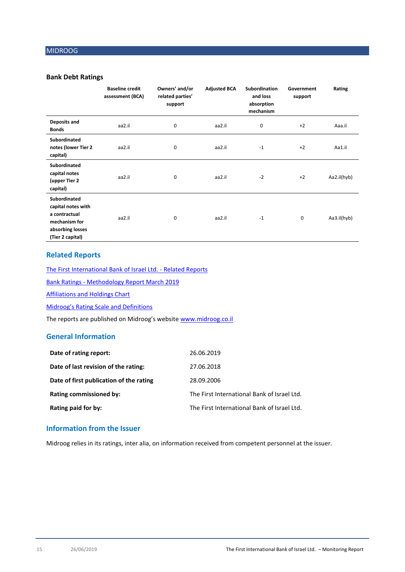## **Bank Debt Ratings**

|                                                                                                                     | <b>Baseline credit</b><br>assessment (BCA) | Owners' and/or<br>related parties'<br>support | <b>Adjusted BCA</b> | Subordination<br>and loss<br>absorption<br>mechanism | Government<br>support | Rating      |
|---------------------------------------------------------------------------------------------------------------------|--------------------------------------------|-----------------------------------------------|---------------------|------------------------------------------------------|-----------------------|-------------|
| Deposits and<br><b>Bonds</b>                                                                                        | aa2.il                                     | 0                                             | aa2.il              | 0                                                    | $+2$                  | Aaa.il      |
| <b>Subordinated</b><br>notes (lower Tier 2<br>capital)                                                              | aa2.il                                     | 0                                             | aa2.il              | $-1$                                                 | $+2$                  | Aa1.il      |
| <b>Subordinated</b><br>capital notes<br>(upper Tier 2<br>capital)                                                   | aa2.il                                     | 0                                             | aa2.il              | $-2$                                                 | $+2$                  | Aa2.il(hyb) |
| <b>Subordinated</b><br>capital notes with<br>a contractual<br>mechanism for<br>absorbing losses<br>(Tier 2 capital) | aa2.il                                     | 0                                             | aa2.il              | $-1$                                                 | $\mathbf 0$           | Aa3.il(hyb) |

## **Related Reports**

[The First International Bank of Israel Ltd.](https://www.midroog.co.il/CompanyPage.aspx?l=1&sec=2&c=7&id=207) - Related Reports

Bank Ratings - [Methodology Report March 2019](https://www.midroog.co.il/MethodologiesIndex.aspx?l=1)

[Affiliations and Holdings Chart](https://www.midroog.co.il/SitePage.aspx?l=1&id=36)

Midroog's [Rating Scale](https://www.midroog.co.il/SitePage.aspx?l=1&id=8) and Definitions

The reports are published on Midroog's website [www.midroog.co.il](http://www.midroog.co.il/)

## **General Information**

| Date of rating report:                  | 26.06.2019                                  |
|-----------------------------------------|---------------------------------------------|
| Date of last revision of the rating:    | 27.06.2018                                  |
| Date of first publication of the rating | 28.09.2006                                  |
| <b>Rating commissioned by:</b>          | The First International Bank of Israel Ltd. |
| Rating paid for by:                     | The First International Bank of Israel Ltd. |

## **Information from the Issuer**

Midroog relies in its ratings, inter alia, on information received from competent personnel at the issuer.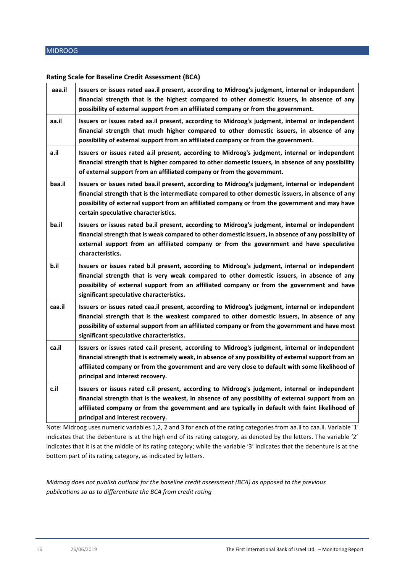## **Rating Scale for Baseline Credit Assessment (BCA)**

| aaa.il                      | Issuers or issues rated aaa.il present, according to Midroog's judgment, internal or independent<br>financial strength that is the highest compared to other domestic issuers, in absence of any<br>possibility of external support from an affiliated company or from the government.                                                                                                                                                                                                                                                            |
|-----------------------------|---------------------------------------------------------------------------------------------------------------------------------------------------------------------------------------------------------------------------------------------------------------------------------------------------------------------------------------------------------------------------------------------------------------------------------------------------------------------------------------------------------------------------------------------------|
| aa.il                       | Issuers or issues rated aa.il present, according to Midroog's judgment, internal or independent<br>financial strength that much higher compared to other domestic issuers, in absence of any<br>possibility of external support from an affiliated company or from the government.                                                                                                                                                                                                                                                                |
| a.il                        | Issuers or issues rated a.il present, according to Midroog's judgment, internal or independent<br>financial strength that is higher compared to other domestic issuers, in absence of any possibility<br>of external support from an affiliated company or from the government.                                                                                                                                                                                                                                                                   |
| baa.il                      | Issuers or issues rated baa.il present, according to Midroog's judgment, internal or independent<br>financial strength that is the intermediate compared to other domestic issuers, in absence of any<br>possibility of external support from an affiliated company or from the government and may have<br>certain speculative characteristics.                                                                                                                                                                                                   |
| ba.il                       | Issuers or issues rated ba.il present, according to Midroog's judgment, internal or independent<br>financial strength that is weak compared to other domestic issuers, in absence of any possibility of<br>external support from an affiliated company or from the government and have speculative<br>characteristics.                                                                                                                                                                                                                            |
| b.il                        | Issuers or issues rated b.il present, according to Midroog's judgment, internal or independent<br>financial strength that is very weak compared to other domestic issuers, in absence of any<br>possibility of external support from an affiliated company or from the government and have<br>significant speculative characteristics.                                                                                                                                                                                                            |
| caa.il                      | Issuers or issues rated caa.il present, according to Midroog's judgment, internal or independent<br>financial strength that is the weakest compared to other domestic issuers, in absence of any<br>possibility of external support from an affiliated company or from the government and have most<br>significant speculative characteristics.                                                                                                                                                                                                   |
| ca.il                       | Issuers or issues rated ca.il present, according to Midroog's judgment, internal or independent<br>financial strength that is extremely weak, in absence of any possibility of external support from an<br>affiliated company or from the government and are very close to default with some likelihood of<br>principal and interest recovery.                                                                                                                                                                                                    |
| c.il<br><b>B</b> <i>B</i> 2 | Issuers or issues rated c.il present, according to Midroog's judgment, internal or independent<br>financial strength that is the weakest, in absence of any possibility of external support from an<br>affiliated company or from the government and are typically in default with faint likelihood of<br>principal and interest recovery.<br>$\mathbf{A}$ . $\mathbf{A}$ . $\mathbf{A}$ . $\mathbf{A}$ . $\mathbf{A}$ . $\mathbf{A}$ . $\mathbf{A}$ . $\mathbf{A}$ . $\mathbf{A}$ . $\mathbf{A}$<br>$21 - 3$ $A = 12$ $A = 14$ $A = 14$<br>7 L.A |

Note: Midroog uses numeric variables 1,2, 2 and 3 for each of the rating categories from aa.il to caa.il. Variable '1' indicates that the debenture is at the high end of its rating category, as denoted by the letters. The variable '2' indicates that it is at the middle of its rating category; while the variable '3' indicates that the debenture is at the bottom part of its rating category, as indicated by letters.

*Midroog does not publish outlook for the baseline credit assessment (BCA) as opposed to the previous publications so as to differentiate the BCA from credit rating*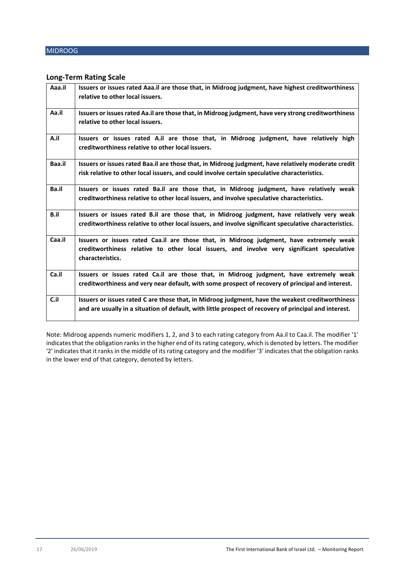## **Long-Term Rating Scale**

| Aaa.il | Issuers or issues rated Aaa.il are those that, in Midroog judgment, have highest creditworthiness<br>relative to other local issuers.                                                                      |
|--------|------------------------------------------------------------------------------------------------------------------------------------------------------------------------------------------------------------|
| Aa.il  | Issuers or issues rated Aa.il are those that, in Midroog judgment, have very strong creditworthiness<br>relative to other local issuers.                                                                   |
| A.il   | Issuers or issues rated A.il are those that, in Midroog judgment, have relatively high<br>creditworthiness relative to other local issuers.                                                                |
| Baa.il | Issuers or issues rated Baa.il are those that, in Midroog judgment, have relatively moderate credit<br>risk relative to other local issuers, and could involve certain speculative characteristics.        |
| Ba.il  | Issuers or issues rated Ba.il are those that, in Midroog judgment, have relatively weak<br>creditworthiness relative to other local issuers, and involve speculative characteristics.                      |
| B.il   | Issuers or issues rated B.il are those that, in Midroog judgment, have relatively very weak<br>creditworthiness relative to other local issuers, and involve significant speculative characteristics.      |
| Caa.il | Issuers or issues rated Caa.il are those that, in Midroog judgment, have extremely weak<br>creditworthiness relative to other local issuers, and involve very significant speculative<br>characteristics.  |
| Ca.il  | Issuers or issues rated Ca.il are those that, in Midroog judgment, have extremely weak<br>creditworthiness and very near default, with some prospect of recovery of principal and interest.                |
| C.il   | Issuers or issues rated C are those that, in Midroog judgment, have the weakest creditworthiness<br>and are usually in a situation of default, with little prospect of recovery of principal and interest. |

Note: Midroog appends numeric modifiers 1, 2, and 3 to each rating category from Aa.il to Caa.il. The modifier '1' indicates that the obligation ranks in the higher end of its rating category, which is denoted by letters. The modifier '2' indicates that it ranks in the middle of its rating category and the modifier '3' indicates that the obligation ranks in the lower end of that category, denoted by letters.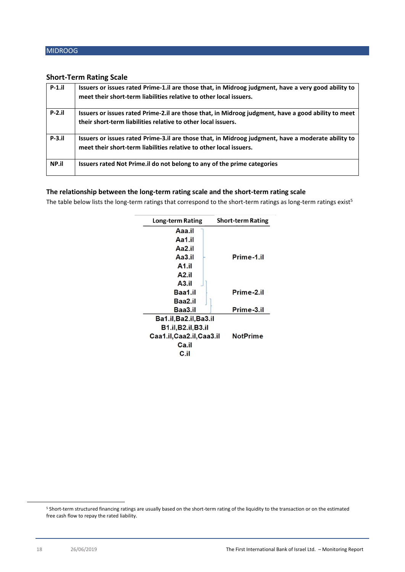## **Short-Term Rating Scale**

| $P-1$ .il | Issuers or issues rated Prime-1.il are those that, in Midroog judgment, have a very good ability to<br>meet their short-term liabilities relative to other local issuers. |
|-----------|---------------------------------------------------------------------------------------------------------------------------------------------------------------------------|
| $P-2.1$   | Issuers or issues rated Prime-2.il are those that, in Midroog judgment, have a good ability to meet<br>their short-term liabilities relative to other local issuers.      |
| $P-3.1$   | Issuers or issues rated Prime-3.il are those that, in Midroog judgment, have a moderate ability to<br>meet their short-term liabilities relative to other local issuers.  |
| NP.il     | Issuers rated Not Prime. il do not belong to any of the prime categories                                                                                                  |

## **The relationship between the long-term rating scale and the short-term rating scale**

The table below lists the long-term ratings that correspond to the short-term ratings as long-term ratings exist<sup>5</sup>

| <b>Long-term Rating</b>    | <b>Short-term Rating</b> |
|----------------------------|--------------------------|
| Aaa.il                     |                          |
| Aa1.il                     |                          |
| Aa2.il                     |                          |
| Aa <sub>3.il</sub>         | Prime-1.il               |
| A <sub>1.il</sub>          |                          |
| A2.il                      |                          |
| A3.il                      |                          |
| Baa1.il                    | Prime-2.il               |
| Baa2.il                    |                          |
| Baa3.il                    | Prime-3.il               |
| Ba1.il, Ba2.il, Ba3.il     |                          |
| <b>B1.il, B2.il, B3.il</b> |                          |
| Caa1.il, Caa2.il, Caa3.il  | <b>NotPrime</b>          |
| Ca.il                      |                          |
| C.il                       |                          |

 $\overline{\phantom{a}}$ 

<sup>5</sup> Short-term structured financing ratings are usually based on the short-term rating of the liquidity to the transaction or on the estimated free cash flow to repay the rated liability.